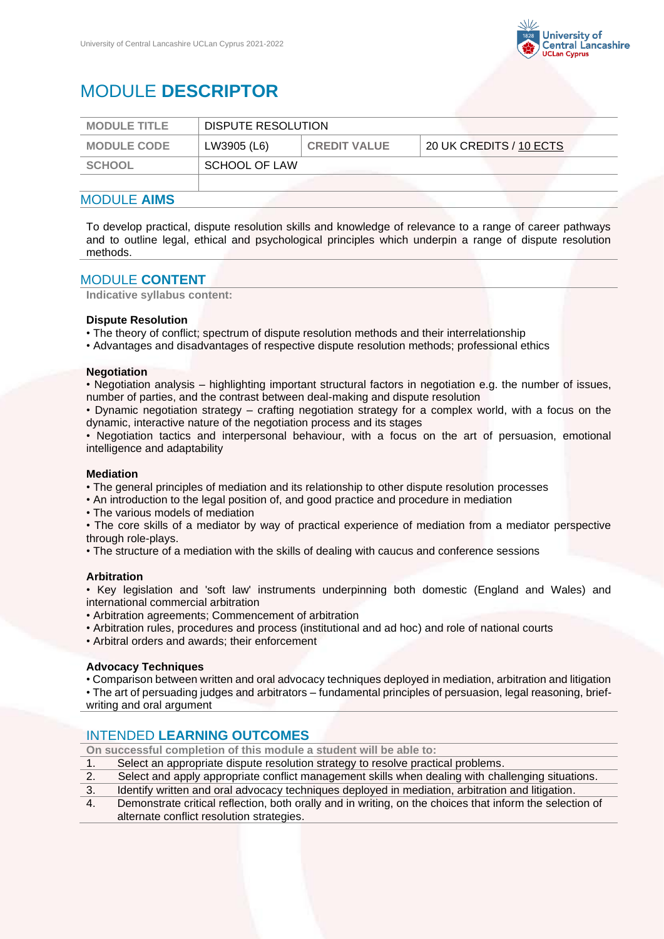

# MODULE **DESCRIPTOR**

| <b>MODULE TITLE</b> | DISPUTE RESOLUTION |                     |                            |
|---------------------|--------------------|---------------------|----------------------------|
| <b>MODULE CODE</b>  | LW3905 (L6)        | <b>CREDIT VALUE</b> | $120$ UK CREDITS / 10 ECTS |
| SCHOOL              | SCHOOL OF LAW      |                     |                            |
|                     |                    |                     |                            |

# MODULE **AIMS**

To develop practical, dispute resolution skills and knowledge of relevance to a range of career pathways and to outline legal, ethical and psychological principles which underpin a range of dispute resolution methods.

## MODULE **CONTENT**

**Indicative syllabus content:**

#### **Dispute Resolution**

• The theory of conflict; spectrum of dispute resolution methods and their interrelationship

• Advantages and disadvantages of respective dispute resolution methods; professional ethics

#### **Negotiation**

• Negotiation analysis – highlighting important structural factors in negotiation e.g. the number of issues, number of parties, and the contrast between deal-making and dispute resolution

• Dynamic negotiation strategy – crafting negotiation strategy for a complex world, with a focus on the dynamic, interactive nature of the negotiation process and its stages

• Negotiation tactics and interpersonal behaviour, with a focus on the art of persuasion, emotional intelligence and adaptability

#### **Mediation**

• The general principles of mediation and its relationship to other dispute resolution processes

• An introduction to the legal position of, and good practice and procedure in mediation

• The various models of mediation

• The core skills of a mediator by way of practical experience of mediation from a mediator perspective through role-plays.

• The structure of a mediation with the skills of dealing with caucus and conference sessions

#### **Arbitration**

• Key legislation and 'soft law' instruments underpinning both domestic (England and Wales) and international commercial arbitration

• Arbitration agreements; Commencement of arbitration

- Arbitration rules, procedures and process (institutional and ad hoc) and role of national courts
- Arbitral orders and awards; their enforcement

#### **Advocacy Techniques**

• Comparison between written and oral advocacy techniques deployed in mediation, arbitration and litigation

• The art of persuading judges and arbitrators – fundamental principles of persuasion, legal reasoning, briefwriting and oral argument

# INTENDED **LEARNING OUTCOMES**

**On successful completion of this module a student will be able to:**

- 1. Select an appropriate dispute resolution strategy to resolve practical problems.
- 2. Select and apply appropriate conflict management skills when dealing with challenging situations.

3. Identify written and oral advocacy techniques deployed in mediation, arbitration and litigation.

4. Demonstrate critical reflection, both orally and in writing, on the choices that inform the selection of alternate conflict resolution strategies.